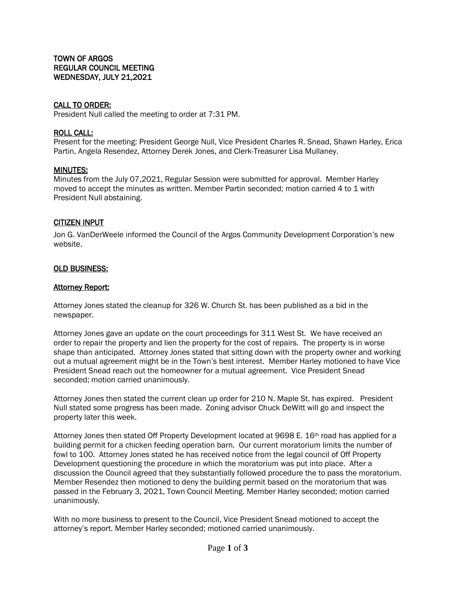## CALL TO ORDER:

President Null called the meeting to order at 7:31 PM.

### ROLL CALL:

Present for the meeting: President George Null, Vice President Charles R. Snead, Shawn Harley, Erica Partin, Angela Resendez, Attorney Derek Jones, and Clerk-Treasurer Lisa Mullaney.

### MINUTES:

Minutes from the July 07,2021, Regular Session were submitted for approval. Member Harley moved to accept the minutes as written. Member Partin seconded; motion carried 4 to 1 with President Null abstaining.

### CITIZEN INPUT

Jon G. VanDerWeele informed the Council of the Argos Community Development Corporation's new website.

## OLD BUSINESS:

### **Attorney Report:**

Attorney Jones stated the cleanup for 326 W. Church St. has been published as a bid in the newspaper.

Attorney Jones gave an update on the court proceedings for 311 West St. We have received an order to repair the property and lien the property for the cost of repairs. The property is in worse shape than anticipated. Attorney Jones stated that sitting down with the property owner and working out a mutual agreement might be in the Town's best interest. Member Harley motioned to have Vice President Snead reach out the homeowner for a mutual agreement. Vice President Snead seconded; motion carried unanimously.

Attorney Jones then stated the current clean up order for 210 N. Maple St. has expired. President Null stated some progress has been made. Zoning advisor Chuck DeWitt will go and inspect the property later this week.

Attorney Jones then stated Off Property Development located at 9698 E. 16th road has applied for a building permit for a chicken feeding operation barn. Our current moratorium limits the number of fowl to 100. Attorney Jones stated he has received notice from the legal council of Off Property Development questioning the procedure in which the moratorium was put into place. After a discussion the Council agreed that they substantially followed procedure the to pass the moratorium. Member Resendez then motioned to deny the building permit based on the moratorium that was passed in the February 3, 2021, Town Council Meeting. Member Harley seconded; motion carried unanimously.

With no more business to present to the Council, Vice President Snead motioned to accept the attorney's report. Member Harley seconded; motioned carried unanimously.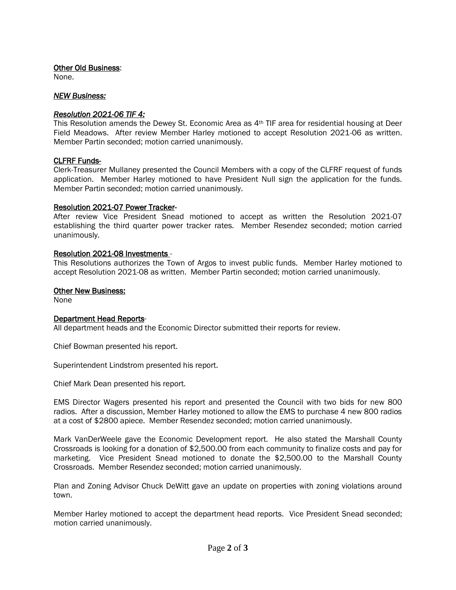## Other Old Business:

None.

## *NEW Business:*

## *Resolution 2021-06 TIF 4:*

This Resolution amends the Dewey St. Economic Area as 4th TIF area for residential housing at Deer Field Meadows. After review Member Harley motioned to accept Resolution 2021-06 as written. Member Partin seconded; motion carried unanimously.

## CLFRF Funds-

Clerk-Treasurer Mullaney presented the Council Members with a copy of the CLFRF request of funds application. Member Harley motioned to have President Null sign the application for the funds. Member Partin seconded; motion carried unanimously.

### Resolution 2021-07 Power Tracker*-*

After review Vice President Snead motioned to accept as written the Resolution 2021-07 establishing the third quarter power tracker rates. Member Resendez seconded; motion carried unanimously.

## Resolution 2021-08 Investments -

This Resolutions authorizes the Town of Argos to invest public funds. Member Harley motioned to accept Resolution 2021-08 as written. Member Partin seconded; motion carried unanimously.

## Other New Business:

None

# Department Head Reports-

All department heads and the Economic Director submitted their reports for review.

Chief Bowman presented his report.

Superintendent Lindstrom presented his report.

Chief Mark Dean presented his report.

EMS Director Wagers presented his report and presented the Council with two bids for new 800 radios. After a discussion, Member Harley motioned to allow the EMS to purchase 4 new 800 radios at a cost of \$2800 apiece. Member Resendez seconded; motion carried unanimously.

Mark VanDerWeele gave the Economic Development report. He also stated the Marshall County Crossroads is looking for a donation of \$2,500.00 from each community to finalize costs and pay for marketing. Vice President Snead motioned to donate the \$2,500.00 to the Marshall County Crossroads. Member Resendez seconded; motion carried unanimously.

Plan and Zoning Advisor Chuck DeWitt gave an update on properties with zoning violations around town.

Member Harley motioned to accept the department head reports. Vice President Snead seconded; motion carried unanimously.